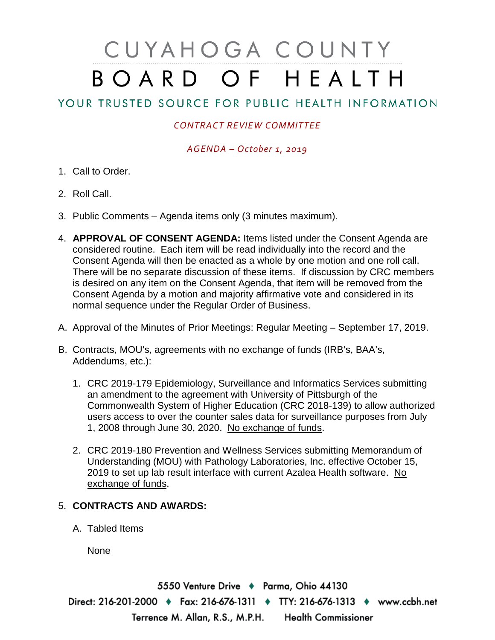# CUYAHOGA COUNTY BOARD OF HEALTH

## YOUR TRUSTED SOURCE FOR PUBLIC HEALTH INFORMATION

### *CONTRACT REVIEW COMMITTEE*

#### *AGENDA – October 1, 2019*

- 1. Call to Order.
- 2. Roll Call.
- 3. Public Comments Agenda items only (3 minutes maximum).
- 4. **APPROVAL OF CONSENT AGENDA:** Items listed under the Consent Agenda are considered routine. Each item will be read individually into the record and the Consent Agenda will then be enacted as a whole by one motion and one roll call. There will be no separate discussion of these items. If discussion by CRC members is desired on any item on the Consent Agenda, that item will be removed from the Consent Agenda by a motion and majority affirmative vote and considered in its normal sequence under the Regular Order of Business.
- A. Approval of the Minutes of Prior Meetings: Regular Meeting September 17, 2019.
- B. Contracts, MOU's, agreements with no exchange of funds (IRB's, BAA's, Addendums, etc.):
	- 1. CRC 2019-179 Epidemiology, Surveillance and Informatics Services submitting an amendment to the agreement with University of Pittsburgh of the Commonwealth System of Higher Education (CRC 2018-139) to allow authorized users access to over the counter sales data for surveillance purposes from July 1, 2008 through June 30, 2020. No exchange of funds.
	- 2. CRC 2019-180 Prevention and Wellness Services submitting Memorandum of Understanding (MOU) with Pathology Laboratories, Inc. effective October 15, 2019 to set up lab result interface with current Azalea Health software. No exchange of funds.

#### 5. **CONTRACTS AND AWARDS:**

A. Tabled Items

None

5550 Venture Drive + Parma, Ohio 44130 Direct: 216-201-2000 • Fax: 216-676-1311 • TTY: 216-676-1313 • www.ccbh.net Terrence M. Allan, R.S., M.P.H. Health Commissioner